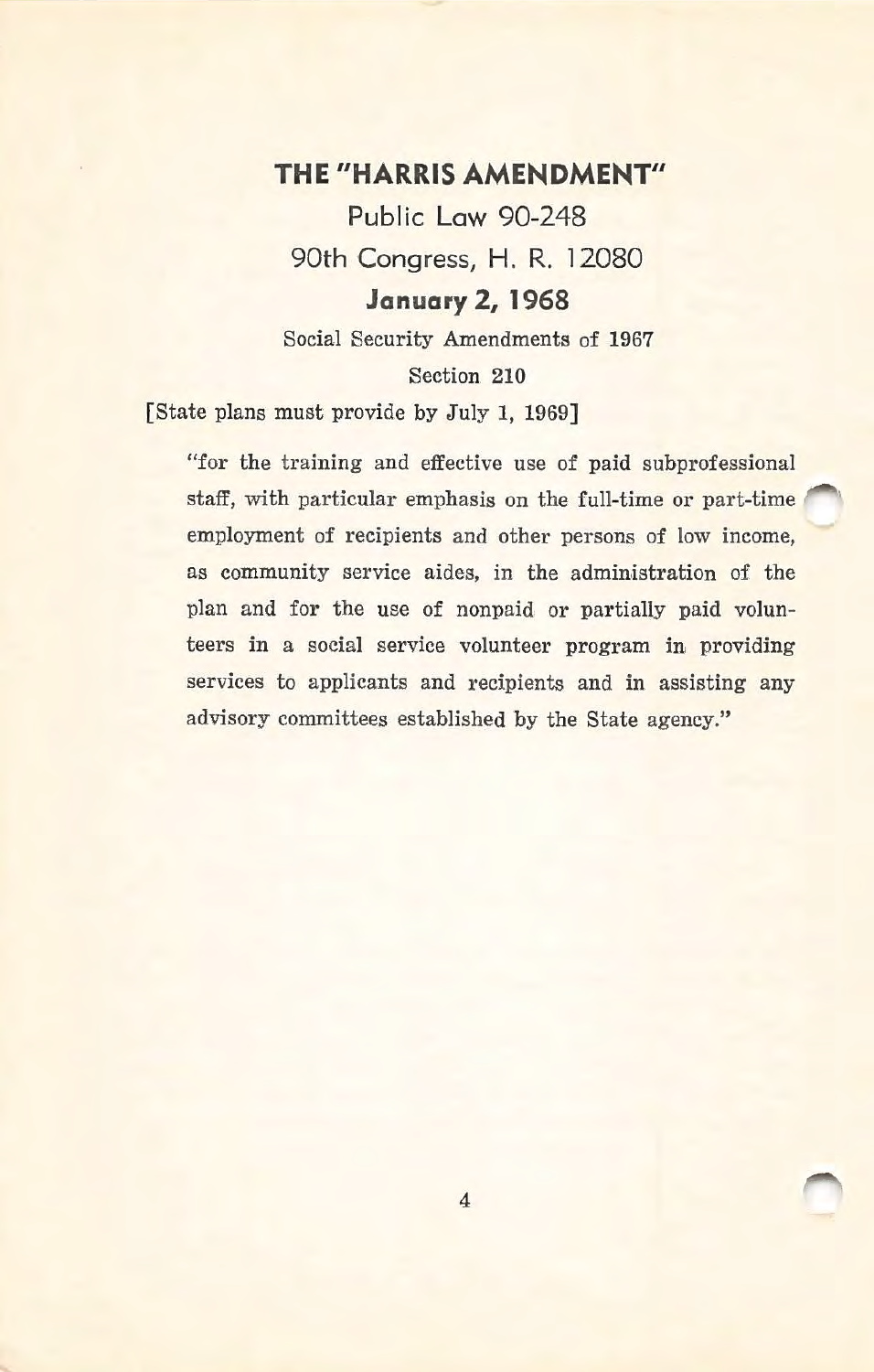## **THE "HARRIS AMENDMENT"**

**Public Law** 90-248 90th Congress, **H.** R. 12080 **January 2, 1968** 

Social Security Amendments of 1967 Section 210

[State plans must provide by July 1, 1969]

"for the training and effective use of paid subprofessional staff, with particular emphasis on the full-time or part-time employment of recipients and other persons of low income, as community service aides, in the administration of the plan and for the use of nonpaid or partially paid volunteers in a social service volunteer program in providing services to applicants and recipients and in assisting any advisory committees established by the State agency."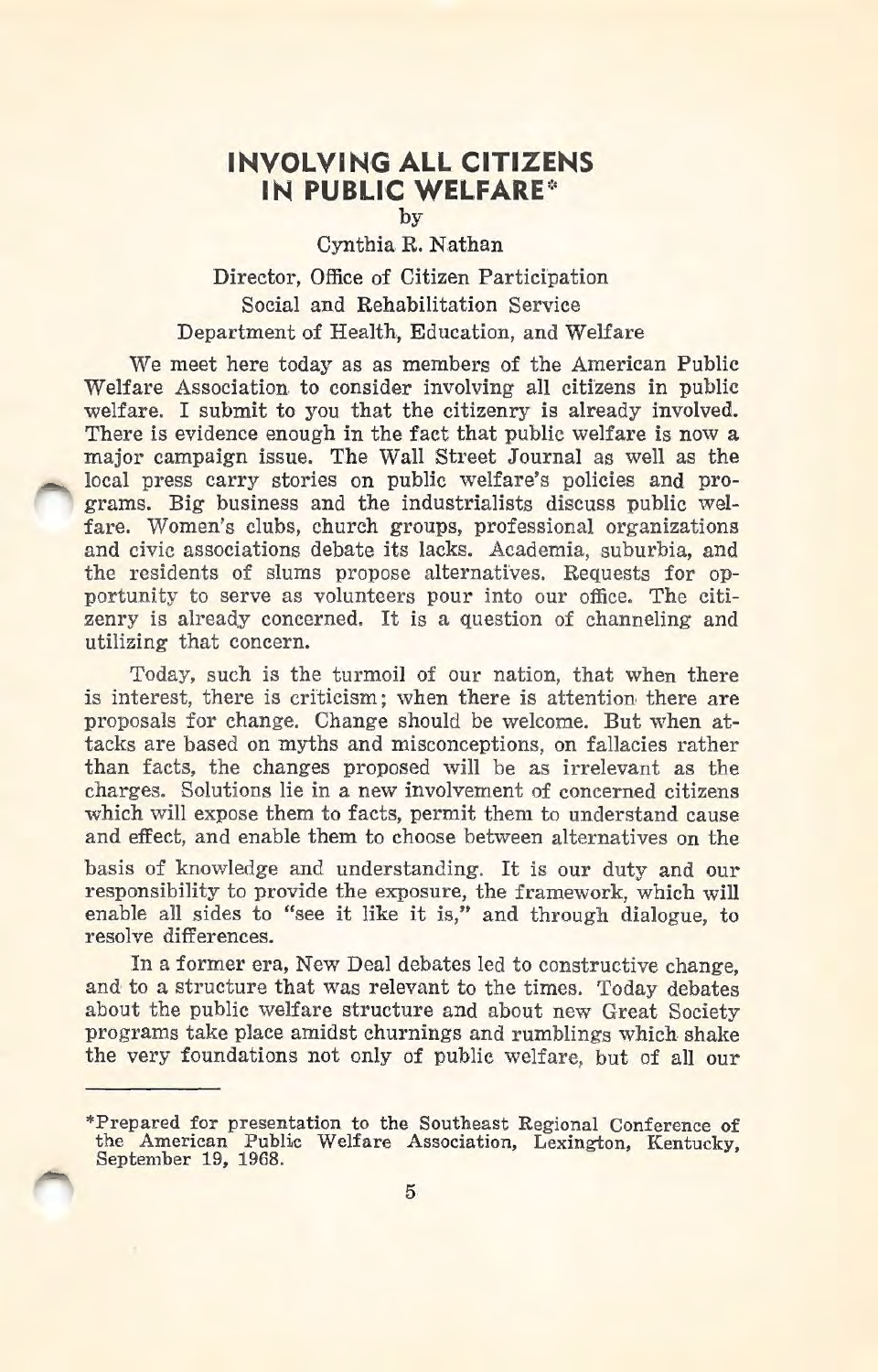## **INVOLVING ALL CITIZENS IN PUBLIC WELFARE\***

by

## Cynthia R. Nathan Director, Office of Citizen Participation Social and Rehabilitation Service Department of Health, Education, and Welfare

We meet here today as as members of the American Public Welfare Association to consider involving all citizens in public welfare. I submit to you that the citizenry is already involved. There is evidence enough in the fact that public welfare is now a major campaign issue. The Wall Street Journal as well as the local press carry stories on public welfare's policies and programs. Big business and the industrialists discuss public welfare. Women's clubs, church groups, professional organizations and civic associations debate its lacks. Academia, suburbia, and the residents of slums propose alternatives. Requests for opportunity to serve as volunteers pour into our office. The citizenry is already concerned. It is a question of channeling and utilizing that concern.

Today, such is the turmoil of our nation, that when there is interest, there is criticism; when there is attention there are proposals for change. Change should be welcome. But when attacks are based on myths and misconceptions, on fallacies rather than facts, the changes proposed will be as irrelevant as the charges. Solutions lie in a new involvement of concerned citizens which will expose them to facts, permit them to understand cause and effect, and enable them to choose between alternatives on the

basis of knowledge and understanding. It is our duty and our responsibility to provide the exposure, the framework, which will enable all sides to "see it like it is," and through dialogue, to resolve differences.

In a former era, New Deal debates led to constructive change, and to a structure that was relevant to the times. Today debates about the public welfare structure and about new Great Society programs take place amidst churnings and rumblings which shake the very foundations not only of public welfare, but of all our

<sup>\*</sup>Prepared for presentation to the Southeast Regional Conference of the American Public Welfare Association, Lexington, Kentucky, September 19, 1968.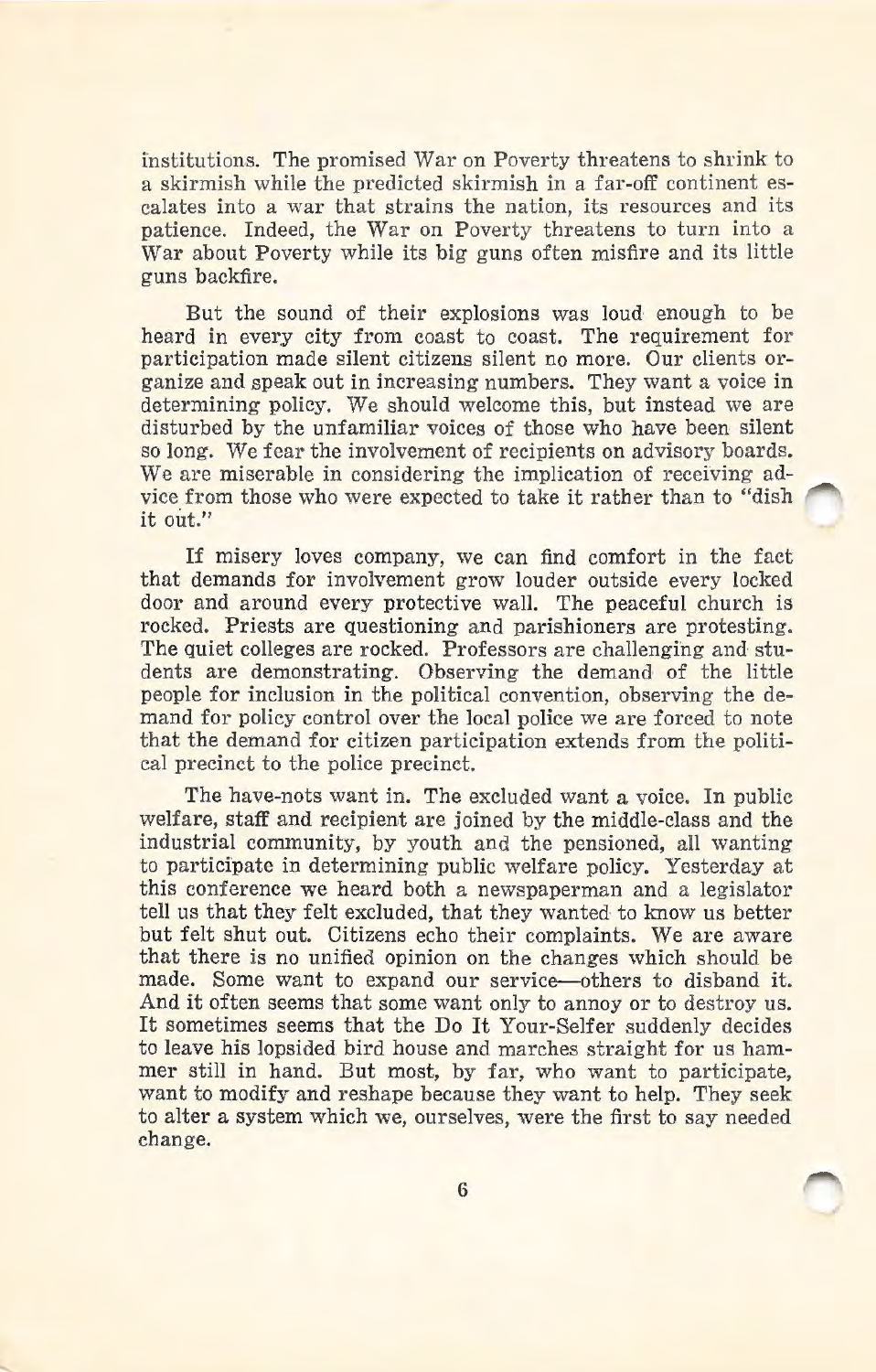institutions. The promised War on Poverty threatens to shrink to a skirmish while the predicted skirmish in a far-off continent escalates into a war that strains the nation, its resources and its patience. Indeed, the War on Poverty threatens to turn into a War about Poverty while its big guns often misfire and its little guns backfire.

But the sound of their explosions was loud enough to be heard in every city from coast to coast. The requirement for participation made silent citizens silent no more. Our clients organize and speak out in increasing numbers. They want a voice in determining policy. We should welcome this, but instead we are disturbed by the unfamiliar voices of those who have been silent so long. We fear the involvement of recipients on advisory boards. We are miserable in considering the implication of receiving advice from those who were expected to take it rather than to "dish it out."

If misery loves company, we can find comfort in the fact that demands for involvement grow louder outside every locked door and around every protective wall. The peaceful church is rocked. Priests are questioning and parishioners are protesting. The quiet colleges are rocked. Professors are challenging and students are demonstrating. Observing the demand of the little people for inclusion in the political convention, observing the demand for policy control over the local police we are forced to note that the demand for citizen participation extends from the political precinct to the police precinct.

The have-nots want in. The excluded want a voice. In public welfare, staff and recipient are joined by the middle-class and the industrial community, by youth and the pensioned, all wanting to participate in determining public welfare policy. Yesterday at this conference we heard both a newspaperman and a legislator tell us that they felt excluded, that they wanted to know us better but felt shut out. Citizens echo their complaints. We are aware that there is no unified opinion on the changes which should be made. Some want to expand our service-others to disband it. And it often seems that some want only to annoy or to destroy us. It sometimes seems that the Do It Your-Selfer suddenly decides to leave his lopsided bird house and marches straight for us hammer still in hand. But most, by far, who want to participate, want to modify and reshape because they want to help. They seek to alter a system which we, ourselves, were the first to say needed change.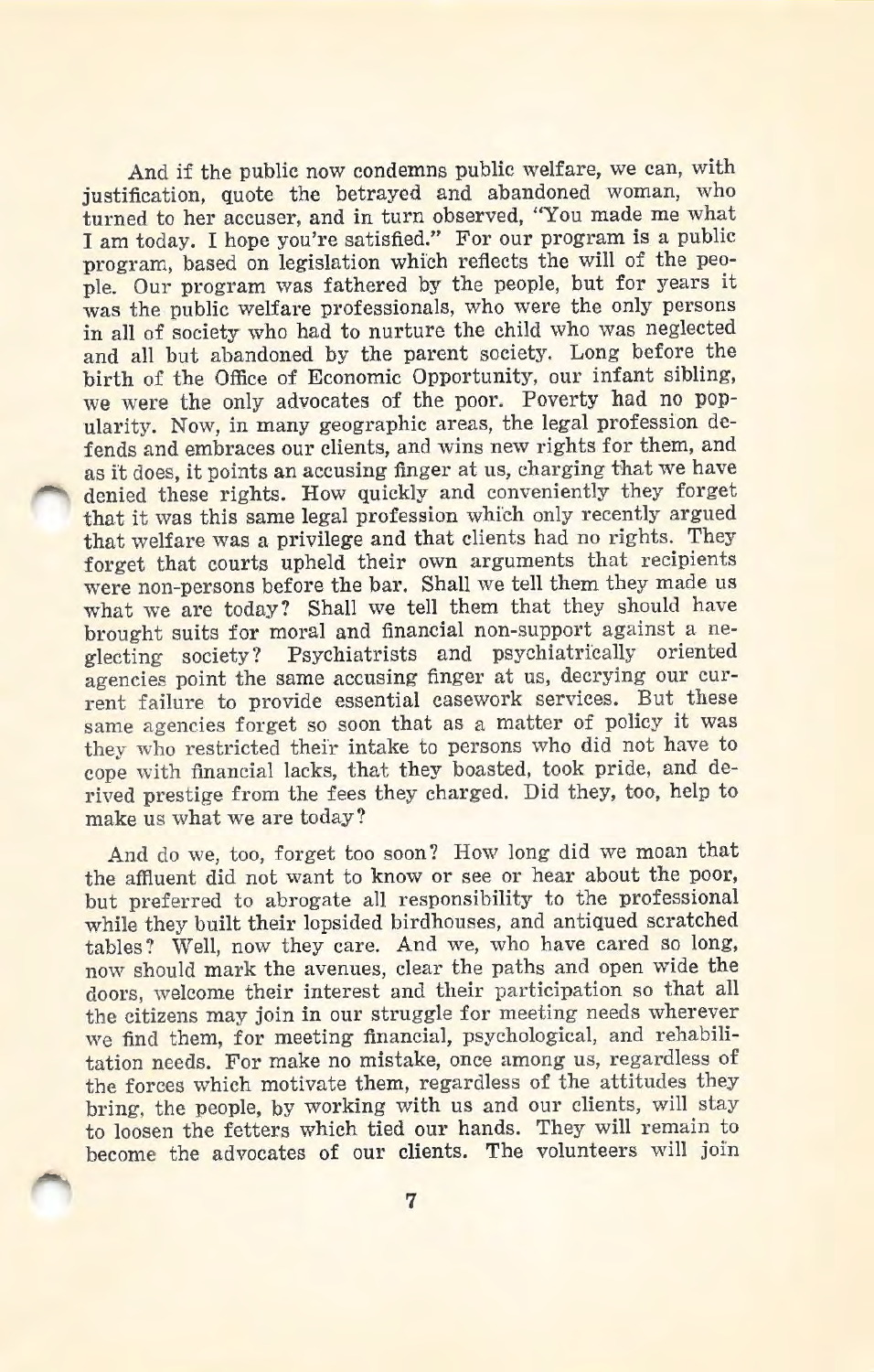And if the public now condemns public welfare, we can, with justification, quote the betrayed and abandoned woman, who turned to her accuser, and in turn observed, "You made me what I am today. I hope you're satisfied." For our program is a public program, based on legislation which reflects the will of the people. Our program was fathered by the people, but for years it was the public welfare professionals, who were the only persons in all of society who had to nurture the child who was neglected and all but abandoned by the parent society. Long before the birth of the Office of Economic Opportunity, our infant sibling, we were the only advocates of the poor. Poverty had no popularity. Now, in many geographic areas, the legal profession defends and embraces our clients, and wins new rights for them, and as it does, it points an accusing finger at us, charging that we have denied these rights. How quickly and conveniently they forget that it was this same legal profession which only recently argued that welfare was a privilege and that clients had no rights. They forget that courts upheld their own arguments that recipients were non-persons before the bar. Shall we tell them they made us what we are today? Shall we tell them that they should have brought suits for moral and financial non-support against a neglecting society? Psychiatrists and psychiatrically oriented agencies point the same accusing finger at us, decrying our current failure to provide essential casework services. But these same agencies forget so soon that as a matter of policy it was they who restricted their intake to persons who did not have to cope with financial lacks, that they boasted, took pride, and derived prestige from the fees they charged. Did they, too, help to make us what we are today?

And do we, too, forget too soon? How long did we moan that the affluent did not want to know or see or hear about the poor, but preferred to abrogate all responsibility to the professional while they built their lopsided birdhouses, and antiqued scratched tables? Well, now they care. And we, who have cared so long, now should mark the avenues, clear the paths and open wide the doors, welcome their interest and their participation so that all the citizens may join in our struggle for meeting needs wherever we find them, for meeting financial, psychological, and rehabilitation needs. For make no mistake, once among us, regardless of the forces which motivate them, regardless of the attitudes they bring, the people, by working with us and our clients, will stay to loosen the fetters which tied our hands. They will remain to become the advocates of our clients. The volunteers will join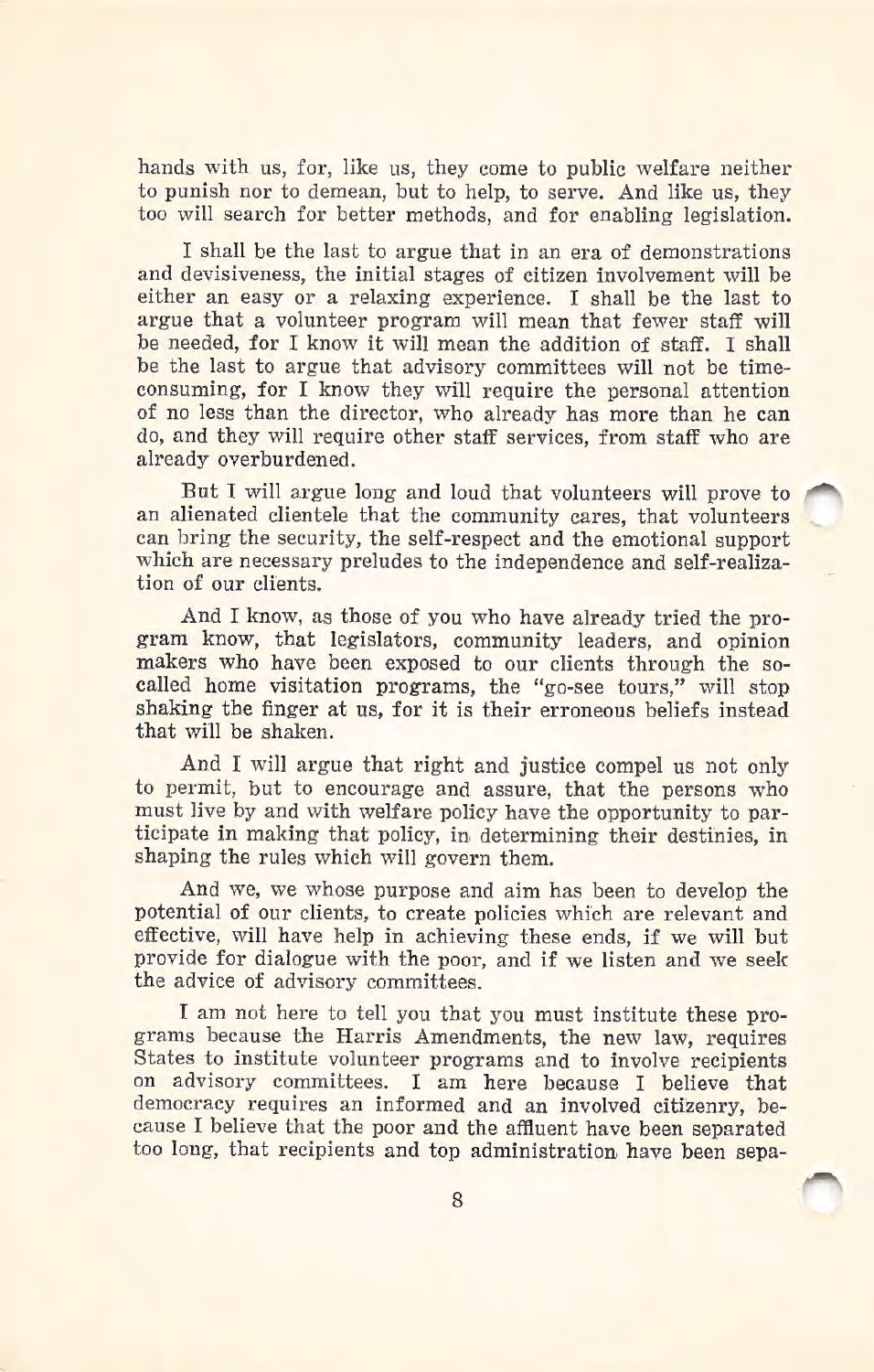hands with us, for, like us, they come to public welfare neither to punish nor to demean, but to help, to serve. And like us, they too will search for better methods, and for enabling legislation.

I shall be the last to argue that in an era of demonstrations and devisiveness, the initial stages of citizen involvement will be either an easy or a relaxing experience. I shall be the last to argue that a volunteer program will mean that fewer staff will be needed, for I know it will mean the addition of staff. I shall be the last to argue that advisory committees will not be timeconsuming, for I know they wfll require the personal attention of no less than the director, who already has more than he can do, and they will require other staff services, from staff who are already overburdened.

But I will argue long and loud that volunteers will prove to an alienated clientele that the community cares, that volunteers can bring the security, the self-respect and the emotional support which are necessary preludes to the independence and self-realization of our clients.

And I know, as those of you who have already tried the program know, that legislators, community leaders, and opinion makers who have been exposed to our clients through the socalled home visitation programs, the "go-see tours," will stop shaking the finger at us, for it is their erroneous beliefs instead that wi11 be shaken.

And I will argue that right and justice compel us not only to permit, but to encourage and assure, that the persons who must live by and with welfare policy have the opportunity to participate in making that policy, in determining their destinies, in shaping the rules which will govern them.

And we, we whose purpose and aim has been to develop the potential of our clients, to create policies which are relevant and effective, will have help in achieving these ends, if we will but provide for dialogue with the poor, and if we listen and we seek the advice of advisory committees.

I am not here to tell you that you must institute these programs because the Harris Amendments, the new law, requires States to institute volunteer programs and to involve recipients on advisory committees. I am here because I believe that democracy requires an informed and an involved citizenry, because I believe that the poor and the affluent have been separated too long, that recipients and top administration have been sepa